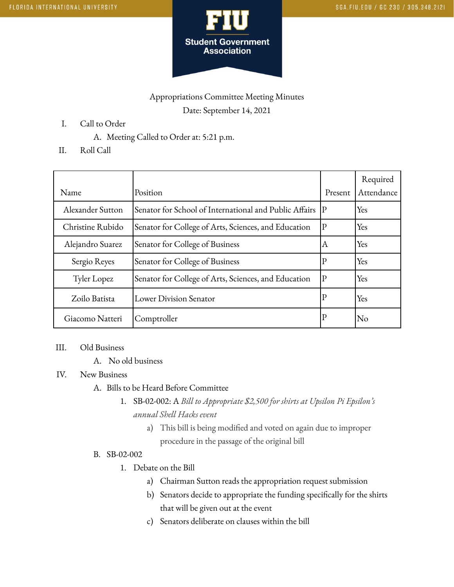

# Appropriations Committee Meeting Minutes Date: September 14, 2021

- I. Call to Order
	- A. Meeting Called to Order at: 5:21 p.m.
- II. Roll Call

| Name             | Position                                                  | Present      | Required<br>Attendance |
|------------------|-----------------------------------------------------------|--------------|------------------------|
| Alexander Sutton | Senator for School of International and Public Affairs  P |              | Yes                    |
| Christine Rubido | Senator for College of Arts, Sciences, and Education      | $\mathbf{P}$ | Yes                    |
| Alejandro Suarez | Senator for College of Business                           | ΙA           | Yes                    |
| Sergio Reyes     | Senator for College of Business                           | $\mathbb{P}$ | Yes                    |
| Tyler Lopez      | Senator for College of Arts, Sciences, and Education      | $ {\rm P} $  | Yes                    |
| Zoilo Batista    | Lower Division Senator                                    | $\mathbf P$  | Yes                    |
| Giacomo Natteri  | Comptroller                                               | $\mathbf P$  | No                     |

### III. Old Business

A. No old business

#### IV. New Business

- A. Bills to be Heard Before Committee
	- 1. SB-02-002: A *Bill to Appropriate \$2,500 for shirts at Upsilon Pi Epsilon's annual Shell Hacks event*
		- a) This bill is being modified and voted on again due to improper procedure in the passage of the original bill

#### B. SB-02-002

- 1. Debate on the Bill
	- a) Chairman Sutton reads the appropriation request submission
	- b) Senators decide to appropriate the funding specifically for the shirts that will be given out at the event
	- c) Senators deliberate on clauses within the bill